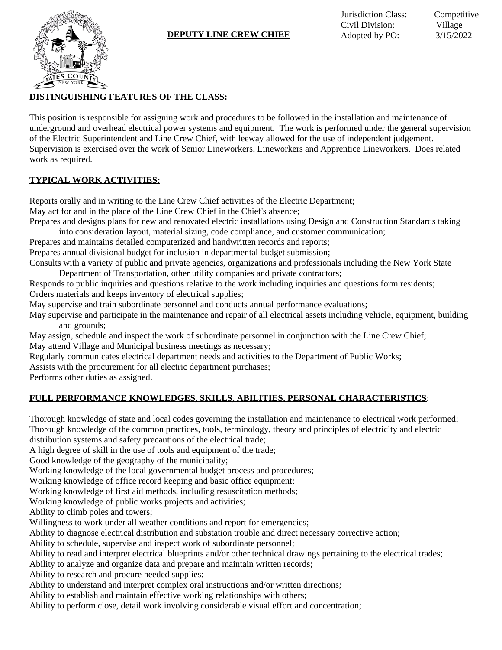# **DISTINGUISHING FEATURES OF THE CLASS:**

This position is responsible for assigning work and procedures to be followed in the installation and maintenance of underground and overhead electrical power systems and equipment. The work is performed under the general supervision of the Electric Superintendent and Line Crew Chief, with leeway allowed for the use of independent judgement. Supervision is exercised over the work of Senior Lineworkers, Lineworkers and Apprentice Lineworkers. Does related work as required.

### **TYPICAL WORK ACTIVITIES:**

Reports orally and in writing to the Line Crew Chief activities of the Electric Department;

May act for and in the place of the Line Crew Chief in the Chief's absence;

Prepares and designs plans for new and renovated electric installations using Design and Construction Standards taking

into consideration layout, material sizing, code compliance, and customer communication; Prepares and maintains detailed computerized and handwritten records and reports;

Prepares annual divisional budget for inclusion in departmental budget submission;

Consults with a variety of public and private agencies, organizations and professionals including the New York State Department of Transportation, other utility companies and private contractors;

Responds to public inquiries and questions relative to the work including inquiries and questions form residents; Orders materials and keeps inventory of electrical supplies;

May supervise and train subordinate personnel and conducts annual performance evaluations;

May supervise and participate in the maintenance and repair of all electrical assets including vehicle, equipment, building and grounds;

May assign, schedule and inspect the work of subordinate personnel in conjunction with the Line Crew Chief; May attend Village and Municipal business meetings as necessary;

Regularly communicates electrical department needs and activities to the Department of Public Works;

Assists with the procurement for all electric department purchases;

Performs other duties as assigned.

# **FULL PERFORMANCE KNOWLEDGES, SKILLS, ABILITIES, PERSONAL CHARACTERISTICS**:

Thorough knowledge of state and local codes governing the installation and maintenance to electrical work performed; Thorough knowledge of the common practices, tools, terminology, theory and principles of electricity and electric distribution systems and safety precautions of the electrical trade;

A high degree of skill in the use of tools and equipment of the trade;

Good knowledge of the geography of the municipality;

Working knowledge of the local governmental budget process and procedures;

Working knowledge of office record keeping and basic office equipment;

Working knowledge of first aid methods, including resuscitation methods;

Working knowledge of public works projects and activities;

Ability to climb poles and towers;

Willingness to work under all weather conditions and report for emergencies;

Ability to diagnose electrical distribution and substation trouble and direct necessary corrective action;

Ability to schedule, supervise and inspect work of subordinate personnel;

Ability to read and interpret electrical blueprints and/or other technical drawings pertaining to the electrical trades;

Ability to analyze and organize data and prepare and maintain written records;

Ability to research and procure needed supplies;

Ability to understand and interpret complex oral instructions and/or written directions;

Ability to establish and maintain effective working relationships with others;

Ability to perform close, detail work involving considerable visual effort and concentration;